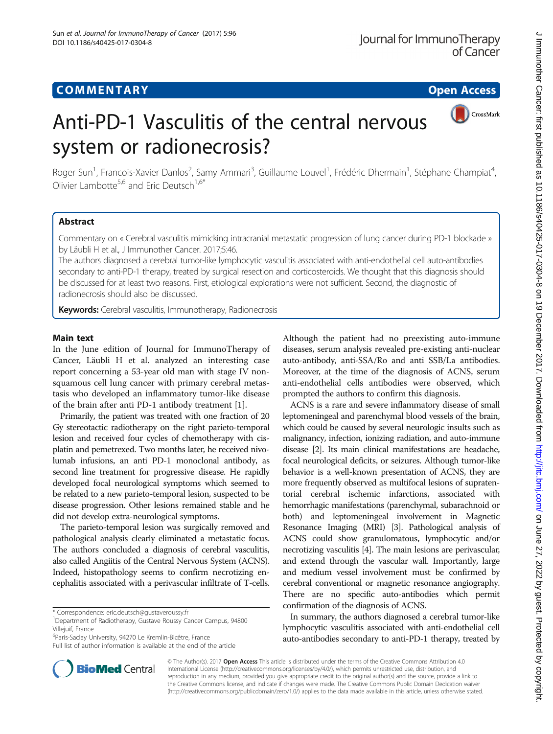# **COMMENTARY COMMENTARY Open Access**

CrossMark

# Anti-PD-1 Vasculitis of the central nervous system or radionecrosis?

Roger Sun<sup>1</sup>, Francois-Xavier Danlos<sup>2</sup>, Samy Ammari<sup>3</sup>, Guillaume Louvel<sup>1</sup>, Frédéric Dhermain<sup>1</sup>, Stéphane Champiat<sup>4</sup> , Olivier Lambotte<sup>5,6</sup> and Fric Deutsch<sup>1,6\*</sup>

# Abstract

Commentary on « Cerebral vasculitis mimicking intracranial metastatic progression of lung cancer during PD-1 blockade » by Läubli H et al., J Immunother Cancer. 2017;5:46.

The authors diagnosed a cerebral tumor-like lymphocytic vasculitis associated with anti-endothelial cell auto-antibodies secondary to anti-PD-1 therapy, treated by surgical resection and corticosteroids. We thought that this diagnosis should be discussed for at least two reasons. First, etiological explorations were not sufficient. Second, the diagnostic of radionecrosis should also be discussed.

Keywords: Cerebral vasculitis, Immunotherapy, Radionecrosis

# Main text

In the June edition of Journal for ImmunoTherapy of Cancer, Läubli H et al. analyzed an interesting case report concerning a 53-year old man with stage IV nonsquamous cell lung cancer with primary cerebral metastasis who developed an inflammatory tumor-like disease of the brain after anti PD-1 antibody treatment [[1\]](#page-2-0).

Primarily, the patient was treated with one fraction of 20 Gy stereotactic radiotherapy on the right parieto-temporal lesion and received four cycles of chemotherapy with cisplatin and pemetrexed. Two months later, he received nivolumab infusions, an anti PD-1 monoclonal antibody, as second line treatment for progressive disease. He rapidly developed focal neurological symptoms which seemed to be related to a new parieto-temporal lesion, suspected to be disease progression. Other lesions remained stable and he did not develop extra-neurological symptoms.

The parieto-temporal lesion was surgically removed and pathological analysis clearly eliminated a metastatic focus. The authors concluded a diagnosis of cerebral vasculitis, also called Angiitis of the Central Nervous System (ACNS). Indeed, histopathology seems to confirm necrotizing encephalitis associated with a perivascular infiltrate of T-cells.



ACNS is a rare and severe inflammatory disease of small leptomeningeal and parenchymal blood vessels of the brain, which could be caused by several neurologic insults such as malignancy, infection, ionizing radiation, and auto-immune disease [\[2](#page-2-0)]. Its main clinical manifestations are headache, focal neurological deficits, or seizures. Although tumor-like behavior is a well-known presentation of ACNS, they are more frequently observed as multifocal lesions of supratentorial cerebral ischemic infarctions, associated with hemorrhagic manifestations (parenchymal, subarachnoid or both) and leptomeningeal involvement in Magnetic Resonance Imaging (MRI) [\[3](#page-2-0)]. Pathological analysis of ACNS could show granulomatous, lymphocytic and/or necrotizing vasculitis [[4](#page-2-0)]. The main lesions are perivascular, and extend through the vascular wall. Importantly, large and medium vessel involvement must be confirmed by cerebral conventional or magnetic resonance angiography. There are no specific auto-antibodies which permit confirmation of the diagnosis of ACNS.

In summary, the authors diagnosed a cerebral tumor-like lymphocytic vasculitis associated with anti-endothelial cell auto-antibodies secondary to anti-PD-1 therapy, treated by



<sup>\*</sup> Correspondence: [eric.deutsch@gustaveroussy.fr](mailto:eric.deutsch@gustaveroussy.fr) <sup>1</sup>

<sup>&</sup>lt;sup>1</sup>Department of Radiotherapy, Gustave Roussy Cancer Campus, 94800 Villejuif, France

<sup>6</sup> Paris-Saclay University, 94270 Le Kremlin-Bicêtre, France

Full list of author information is available at the end of the article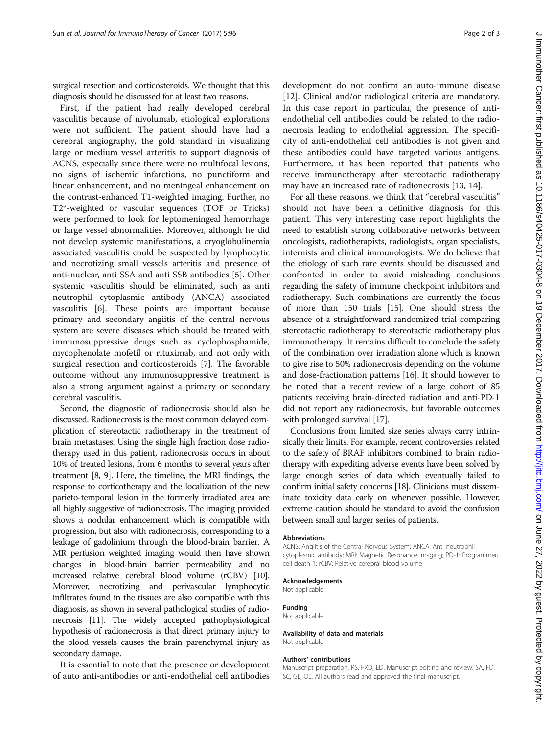surgical resection and corticosteroids. We thought that this diagnosis should be discussed for at least two reasons.

First, if the patient had really developed cerebral vasculitis because of nivolumab, etiological explorations were not sufficient. The patient should have had a cerebral angiography, the gold standard in visualizing large or medium vessel arteritis to support diagnosis of ACNS, especially since there were no multifocal lesions, no signs of ischemic infarctions, no punctiform and linear enhancement, and no meningeal enhancement on the contrast-enhanced T1-weighted imaging. Further, no T2\*-weighted or vascular sequences (TOF or Tricks) were performed to look for leptomeningeal hemorrhage or large vessel abnormalities. Moreover, although he did not develop systemic manifestations, a cryoglobulinemia associated vasculitis could be suspected by lymphocytic and necrotizing small vessels arteritis and presence of anti-nuclear, anti SSA and anti SSB antibodies [[5\]](#page-2-0). Other systemic vasculitis should be eliminated, such as anti neutrophil cytoplasmic antibody (ANCA) associated vasculitis [\[6\]](#page-2-0). These points are important because primary and secondary angiitis of the central nervous system are severe diseases which should be treated with immunosuppressive drugs such as cyclophosphamide, mycophenolate mofetil or rituximab, and not only with surgical resection and corticosteroids [\[7](#page-2-0)]. The favorable outcome without any immunosuppressive treatment is also a strong argument against a primary or secondary cerebral vasculitis.

Second, the diagnostic of radionecrosis should also be discussed. Radionecrosis is the most common delayed complication of stereotactic radiotherapy in the treatment of brain metastases. Using the single high fraction dose radiotherapy used in this patient, radionecrosis occurs in about 10% of treated lesions, from 6 months to several years after treatment [[8](#page-2-0), [9\]](#page-2-0). Here, the timeline, the MRI findings, the response to corticotherapy and the localization of the new parieto-temporal lesion in the formerly irradiated area are all highly suggestive of radionecrosis. The imaging provided shows a nodular enhancement which is compatible with progression, but also with radionecrosis, corresponding to a leakage of gadolinium through the blood-brain barrier. A MR perfusion weighted imaging would then have shown changes in blood-brain barrier permeability and no increased relative cerebral blood volume (rCBV) [\[10](#page-2-0)]. Moreover, necrotizing and perivascular lymphocytic infiltrates found in the tissues are also compatible with this diagnosis, as shown in several pathological studies of radionecrosis [\[11](#page-2-0)]. The widely accepted pathophysiological hypothesis of radionecrosis is that direct primary injury to the blood vessels causes the brain parenchymal injury as secondary damage.

It is essential to note that the presence or development of auto anti-antibodies or anti-endothelial cell antibodies

development do not confirm an auto-immune disease [[12\]](#page-2-0). Clinical and/or radiological criteria are mandatory. In this case report in particular, the presence of antiendothelial cell antibodies could be related to the radionecrosis leading to endothelial aggression. The specificity of anti-endothelial cell antibodies is not given and these antibodies could have targeted various antigens. Furthermore, it has been reported that patients who receive immunotherapy after stereotactic radiotherapy may have an increased rate of radionecrosis [[13, 14\]](#page-2-0).

For all these reasons, we think that "cerebral vasculitis" should not have been a definitive diagnosis for this patient. This very interesting case report highlights the need to establish strong collaborative networks between oncologists, radiotherapists, radiologists, organ specialists, internists and clinical immunologists. We do believe that the etiology of such rare events should be discussed and confronted in order to avoid misleading conclusions regarding the safety of immune checkpoint inhibitors and radiotherapy. Such combinations are currently the focus of more than 150 trials [\[15\]](#page-2-0). One should stress the absence of a straightforward randomized trial comparing stereotactic radiotherapy to stereotactic radiotherapy plus immunotherapy. It remains difficult to conclude the safety of the combination over irradiation alone which is known to give rise to 50% radionecrosis depending on the volume and dose-fractionation patterns [[16](#page-2-0)]. It should however to be noted that a recent review of a large cohort of 85 patients receiving brain-directed radiation and anti-PD-1 did not report any radionecrosis, but favorable outcomes with prolonged survival [[17](#page-2-0)].

Conclusions from limited size series always carry intrinsically their limits. For example, recent controversies related to the safety of BRAF inhibitors combined to brain radiotherapy with expediting adverse events have been solved by large enough series of data which eventually failed to confirm initial safety concerns [\[18](#page-2-0)]. Clinicians must disseminate toxicity data early on whenever possible. However, extreme caution should be standard to avoid the confusion between small and larger series of patients.

### Abbreviations

ACNS: Angiitis of the Central Nervous System; ANCA: Anti neutrophil cytoplasmic antibody; MRI: Magnetic Resonance Imaging; PD-1: Programmed cell death 1; rCBV: Relative cerebral blood volume

#### Acknowledgements

Not applicable

### Funding

Not applicable

### Availability of data and materials Not applicable

#### Authors' contributions

Manuscript preparation: RS, FXD, ED. Manuscript editing and review: SA, FD, SC, GL, OL. All authors read and approved the final manuscript.